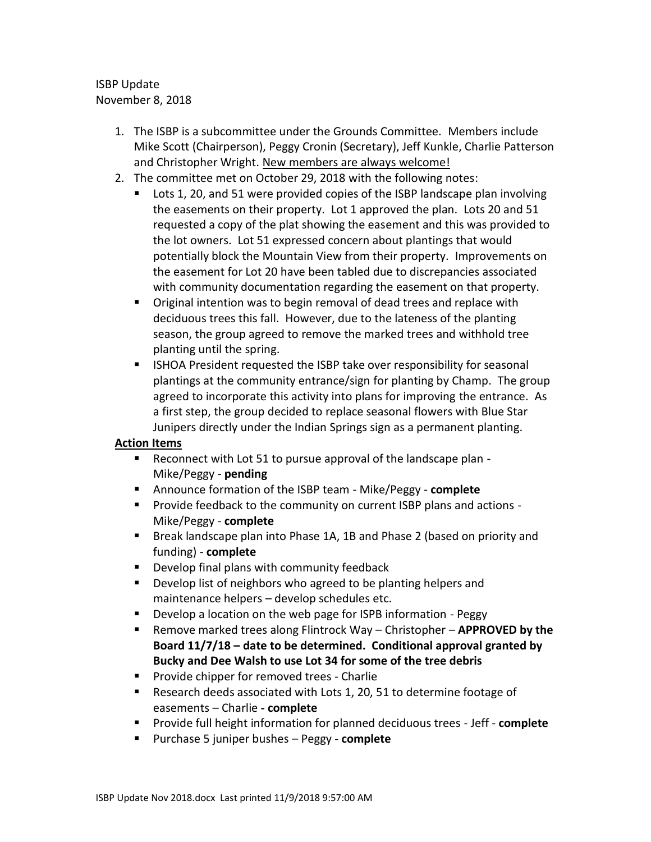## ISBP Update November 8, 2018

- 1. The ISBP is a subcommittee under the Grounds Committee. Members include Mike Scott (Chairperson), Peggy Cronin (Secretary), Jeff Kunkle, Charlie Patterson and Christopher Wright. New members are always welcome!
- 2. The committee met on October 29, 2018 with the following notes:
	- Lots 1, 20, and 51 were provided copies of the ISBP landscape plan involving the easements on their property. Lot 1 approved the plan. Lots 20 and 51 requested a copy of the plat showing the easement and this was provided to the lot owners. Lot 51 expressed concern about plantings that would potentially block the Mountain View from their property. Improvements on the easement for Lot 20 have been tabled due to discrepancies associated with community documentation regarding the easement on that property.
	- Original intention was to begin removal of dead trees and replace with deciduous trees this fall. However, due to the lateness of the planting season, the group agreed to remove the marked trees and withhold tree planting until the spring.
	- **IF ISHOA President requested the ISBP take over responsibility for seasonal** plantings at the community entrance/sign for planting by Champ. The group agreed to incorporate this activity into plans for improving the entrance. As a first step, the group decided to replace seasonal flowers with Blue Star Junipers directly under the Indian Springs sign as a permanent planting.

## **Action Items**

- Reconnect with Lot 51 to pursue approval of the landscape plan Mike/Peggy - **pending**
- Announce formation of the ISBP team Mike/Peggy **complete**
- **Provide feedback to the community on current ISBP plans and actions -**Mike/Peggy - **complete**
- **Break landscape plan into Phase 1A, 1B and Phase 2 (based on priority and** funding) - **complete**
- **Develop final plans with community feedback**
- **Develop list of neighbors who agreed to be planting helpers and** maintenance helpers – develop schedules etc.
- **Develop a location on the web page for ISPB information Peggy**
- Remove marked trees along Flintrock Way Christopher **APPROVED by the Board 11/7/18 – date to be determined. Conditional approval granted by Bucky and Dee Walsh to use Lot 34 for some of the tree debris**
- Provide chipper for removed trees Charlie
- Research deeds associated with Lots 1, 20, 51 to determine footage of easements – Charlie **- complete**
- Provide full height information for planned deciduous trees Jeff **complete**
- Purchase 5 juniper bushes Peggy **complete**